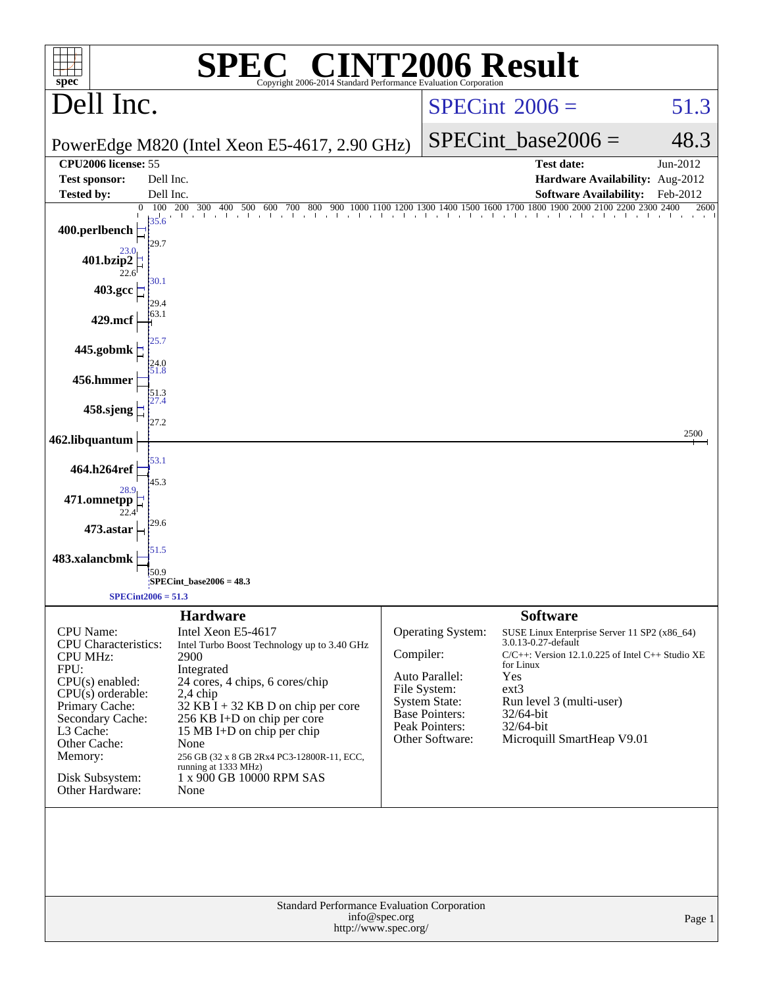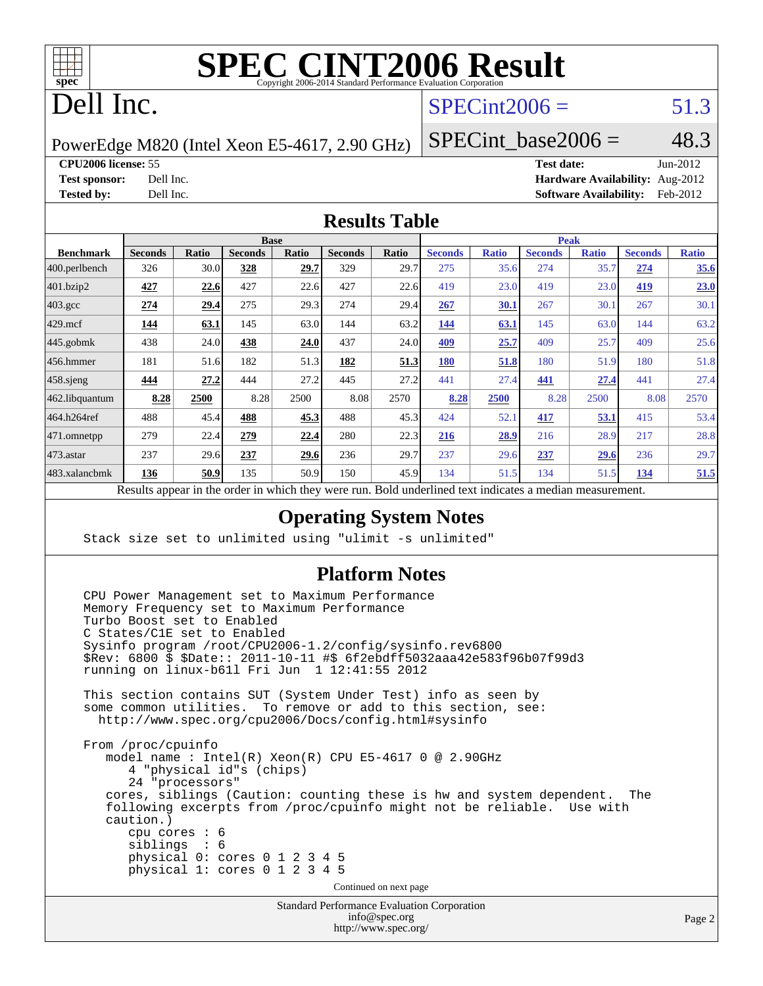

# Dell Inc.

## $SPECint2006 = 51.3$  $SPECint2006 = 51.3$

PowerEdge M820 (Intel Xeon E5-4617, 2.90 GHz)

SPECint base2006 =  $48.3$ 

**[CPU2006 license:](http://www.spec.org/auto/cpu2006/Docs/result-fields.html#CPU2006license)** 55 **[Test date:](http://www.spec.org/auto/cpu2006/Docs/result-fields.html#Testdate)** Jun-2012 **[Test sponsor:](http://www.spec.org/auto/cpu2006/Docs/result-fields.html#Testsponsor)** Dell Inc. **[Hardware Availability:](http://www.spec.org/auto/cpu2006/Docs/result-fields.html#HardwareAvailability)** Aug-2012 **[Tested by:](http://www.spec.org/auto/cpu2006/Docs/result-fields.html#Testedby)** Dell Inc. **[Software Availability:](http://www.spec.org/auto/cpu2006/Docs/result-fields.html#SoftwareAvailability)** Feb-2012

#### **[Results Table](http://www.spec.org/auto/cpu2006/Docs/result-fields.html#ResultsTable)**

|                                                                                                                          | <b>Base</b>    |              |                |       | <b>Peak</b>    |       |                |              |                |              |                |              |
|--------------------------------------------------------------------------------------------------------------------------|----------------|--------------|----------------|-------|----------------|-------|----------------|--------------|----------------|--------------|----------------|--------------|
| <b>Benchmark</b>                                                                                                         | <b>Seconds</b> | <b>Ratio</b> | <b>Seconds</b> | Ratio | <b>Seconds</b> | Ratio | <b>Seconds</b> | <b>Ratio</b> | <b>Seconds</b> | <b>Ratio</b> | <b>Seconds</b> | <b>Ratio</b> |
| 400.perlbench                                                                                                            | 326            | 30.0         | 328            | 29.7  | 329            | 29.7  | 275            | 35.6         | 274            | 35.7         | 274            | 35.6         |
| 401.bzip2                                                                                                                | 427            | 22.6         | 427            | 22.6  | 427            | 22.6  | 419            | 23.0         | 419            | 23.0         | 419            | 23.0         |
| $403.\mathrm{gcc}$                                                                                                       | 274            | 29.4         | 275            | 29.3  | 274            | 29.4  | 267            | 30.1         | 267            | 30.1         | 267            | 30.1         |
| $429$ .mcf                                                                                                               | 144            | 63.1         | 145            | 63.0  | 144            | 63.2  | 144            | 63.1         | 145            | 63.0         | 144            | 63.2         |
| $445$ .gobmk                                                                                                             | 438            | 24.0         | 438            | 24.0  | 437            | 24.0  | 409            | 25.7         | 409            | 25.7         | 409            | 25.6         |
| $456.$ hmmer                                                                                                             | 181            | 51.6         | 182            | 51.3  | 182            | 51.3  | <b>180</b>     | 51.8         | 180            | 51.9         | 180            | 51.8         |
| $458$ .sjeng                                                                                                             | 444            | 27.2         | 444            | 27.2  | 445            | 27.2  | 441            | 27.4         | 441            | 27.4         | 441            | 27.4         |
| 462.libquantum                                                                                                           | 8.28           | 2500         | 8.28           | 2500  | 8.08           | 2570  | 8.28           | 2500         | 8.28           | 2500         | 8.08           | 2570         |
| 464.h264ref                                                                                                              | 488            | 45.4         | 488            | 45.3  | 488            | 45.3  | 424            | 52.1         | 417            | 53.1         | 415            | 53.4         |
| 471.omnetpp                                                                                                              | 279            | 22.4         | 279            | 22.4  | 280            | 22.3  | 216            | 28.9         | 216            | 28.9         | 217            | 28.8         |
| $473$ . astar                                                                                                            | 237            | 29.6         | 237            | 29.6  | 236            | 29.7  | 237            | 29.6         | 237            | 29.6         | 236            | 29.7         |
| 483.xalancbmk                                                                                                            | 136            | 50.9         | 135            | 50.9  | 150            | 45.9  | 134            | 51.5         | 134            | 51.5         | 134            | 51.5         |
| Describe announced to the conduction to think there are more<br>Die 14 von deutling die eerste in die seks van meerdiger |                |              |                |       |                |       |                |              |                |              |                |              |

Results appear in the [order in which they were run.](http://www.spec.org/auto/cpu2006/Docs/result-fields.html#RunOrder) Bold underlined text [indicates a median measurement.](http://www.spec.org/auto/cpu2006/Docs/result-fields.html#Median)

#### **[Operating System Notes](http://www.spec.org/auto/cpu2006/Docs/result-fields.html#OperatingSystemNotes)**

Stack size set to unlimited using "ulimit -s unlimited"

#### **[Platform Notes](http://www.spec.org/auto/cpu2006/Docs/result-fields.html#PlatformNotes)**

 CPU Power Management set to Maximum Performance Memory Frequency set to Maximum Performance Turbo Boost set to Enabled C States/C1E set to Enabled Sysinfo program /root/CPU2006-1.2/config/sysinfo.rev6800 \$Rev: 6800 \$ \$Date:: 2011-10-11 #\$ 6f2ebdff5032aaa42e583f96b07f99d3 running on linux-b61l Fri Jun 1 12:41:55 2012 This section contains SUT (System Under Test) info as seen by some common utilities. To remove or add to this section, see: <http://www.spec.org/cpu2006/Docs/config.html#sysinfo> From /proc/cpuinfo model name : Intel(R) Xeon(R) CPU E5-4617 0 @ 2.90GHz 4 "physical id"s (chips) 24 "processors" cores, siblings (Caution: counting these is hw and system dependent. The following excerpts from /proc/cpuinfo might not be reliable. Use with caution.) cpu cores : 6 siblings : 6 physical 0: cores 0 1 2 3 4 5 physical 1: cores 0 1 2 3 4 5 Continued on next page

Standard Performance Evaluation Corporation [info@spec.org](mailto:info@spec.org) <http://www.spec.org/>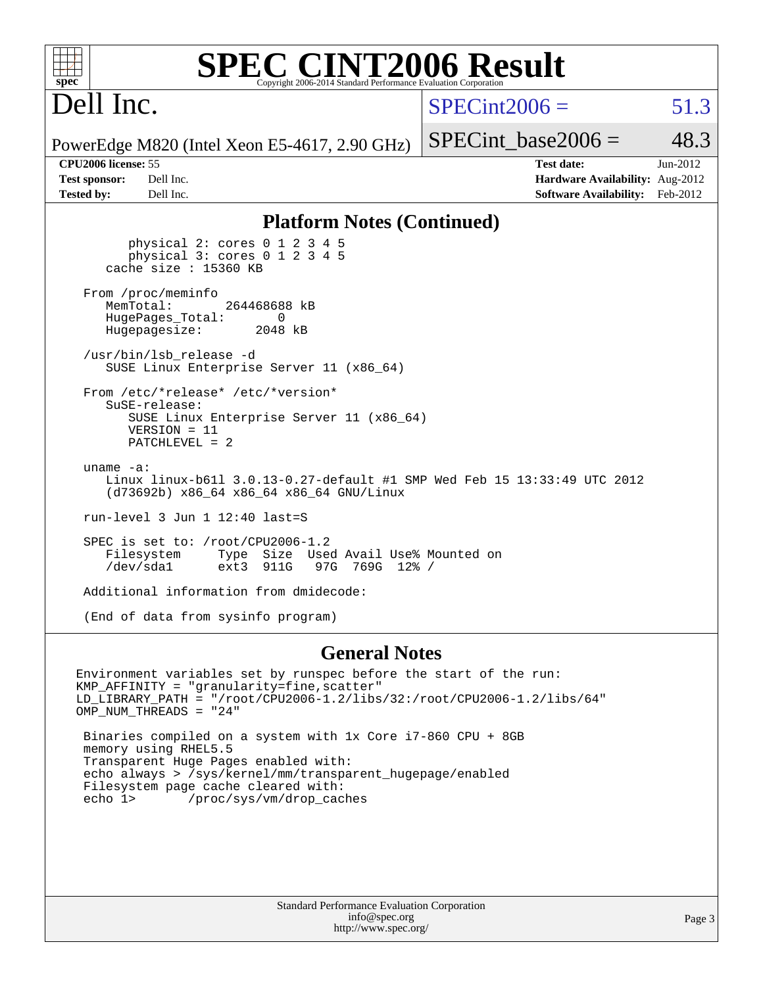## Dell Inc.

#### $SPECint2006 = 51.3$  $SPECint2006 = 51.3$

SPECint base2006 =  $48.3$ 

PowerEdge M820 (Intel Xeon E5-4617, 2.90 GHz)

| <b>Test sponsor:</b> | Dell Inc. |
|----------------------|-----------|
| <b>Tested by:</b>    | Dell Inc. |

**[CPU2006 license:](http://www.spec.org/auto/cpu2006/Docs/result-fields.html#CPU2006license)** 55 **[Test date:](http://www.spec.org/auto/cpu2006/Docs/result-fields.html#Testdate)** Jun-2012 **[Hardware Availability:](http://www.spec.org/auto/cpu2006/Docs/result-fields.html#HardwareAvailability)** Aug-2012 **[Software Availability:](http://www.spec.org/auto/cpu2006/Docs/result-fields.html#SoftwareAvailability)** Feb-2012

#### **[Platform Notes \(Continued\)](http://www.spec.org/auto/cpu2006/Docs/result-fields.html#PlatformNotes)**

 physical 2: cores 0 1 2 3 4 5 physical 3: cores 0 1 2 3 4 5 cache size : 15360 KB From /proc/meminfo<br>MemTotal: 264468688 kB HugePages\_Total: 0<br>Hugepagesize: 2048 kB Hugepagesize: /usr/bin/lsb\_release -d SUSE Linux Enterprise Server 11 (x86\_64) From /etc/\*release\* /etc/\*version\* SuSE-release: SUSE Linux Enterprise Server 11 (x86\_64) VERSION = 11 PATCHLEVEL = 2 uname -a: Linux linux-b61l 3.0.13-0.27-default #1 SMP Wed Feb 15 13:33:49 UTC 2012 (d73692b) x86\_64 x86\_64 x86\_64 GNU/Linux

run-level 3 Jun 1 12:40 last=S

SPEC is set to: /root/CPU2006-1.2<br>Filesystem Type Size Use Type Size Used Avail Use% Mounted on /dev/sda1 ext3 911G 97G 769G 12% /

Additional information from dmidecode:

(End of data from sysinfo program)

#### **[General Notes](http://www.spec.org/auto/cpu2006/Docs/result-fields.html#GeneralNotes)**

Environment variables set by runspec before the start of the run: KMP\_AFFINITY = "granularity=fine,scatter" LD\_LIBRARY\_PATH = "/root/CPU2006-1.2/libs/32:/root/CPU2006-1.2/libs/64" OMP\_NUM\_THREADS = "24" Binaries compiled on a system with 1x Core i7-860 CPU + 8GB memory using RHEL5.5 Transparent Huge Pages enabled with: echo always > /sys/kernel/mm/transparent\_hugepage/enabled

Filesystem page cache cleared with:<br>echo 1> /proc/sys/vm/drop cac

/proc/sys/vm/drop\_caches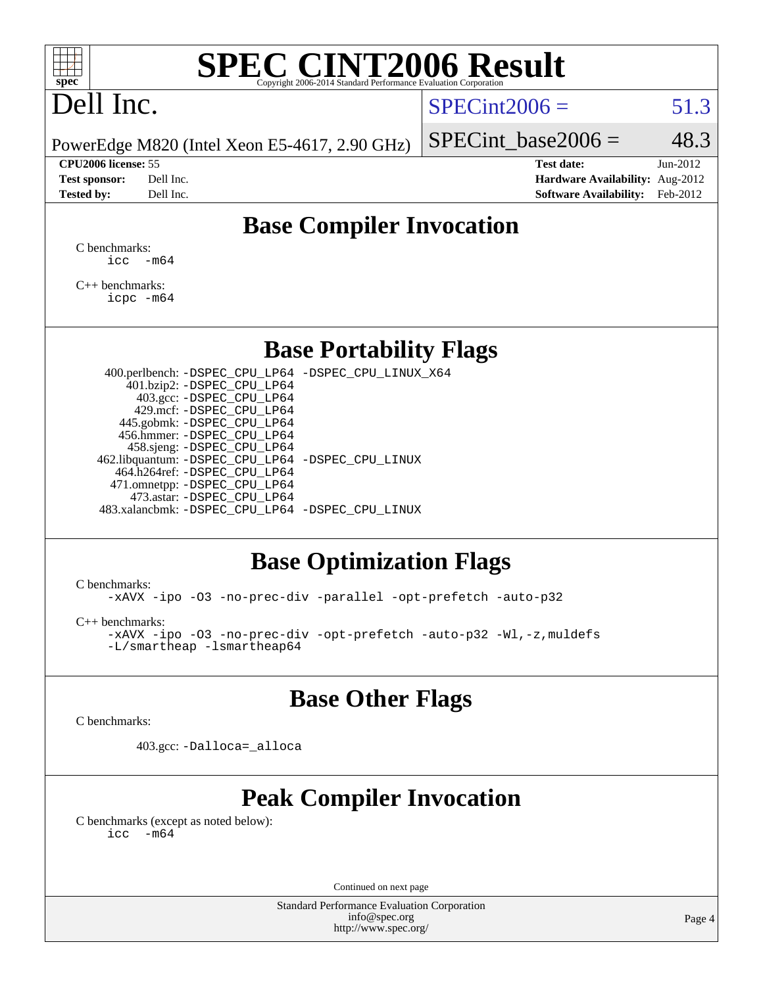

# Dell Inc.

#### $SPECint2006 = 51.3$  $SPECint2006 = 51.3$

PowerEdge M820 (Intel Xeon E5-4617, 2.90 GHz)

| <b>Test sponsor:</b> | Dell Inc. |
|----------------------|-----------|
| <b>Tested by:</b>    | Dell Inc. |

SPECint base2006 =  $48.3$ 

**[CPU2006 license:](http://www.spec.org/auto/cpu2006/Docs/result-fields.html#CPU2006license)** 55 **[Test date:](http://www.spec.org/auto/cpu2006/Docs/result-fields.html#Testdate)** Jun-2012 **[Hardware Availability:](http://www.spec.org/auto/cpu2006/Docs/result-fields.html#HardwareAvailability)** Aug-2012 **[Software Availability:](http://www.spec.org/auto/cpu2006/Docs/result-fields.html#SoftwareAvailability)** Feb-2012

### **[Base Compiler Invocation](http://www.spec.org/auto/cpu2006/Docs/result-fields.html#BaseCompilerInvocation)**

[C benchmarks](http://www.spec.org/auto/cpu2006/Docs/result-fields.html#Cbenchmarks):  $\text{icc}$   $-\text{m64}$ 

[C++ benchmarks:](http://www.spec.org/auto/cpu2006/Docs/result-fields.html#CXXbenchmarks) [icpc -m64](http://www.spec.org/cpu2006/results/res2012q3/cpu2006-20120703-23489.flags.html#user_CXXbase_intel_icpc_64bit_fc66a5337ce925472a5c54ad6a0de310)

#### **[Base Portability Flags](http://www.spec.org/auto/cpu2006/Docs/result-fields.html#BasePortabilityFlags)**

 400.perlbench: [-DSPEC\\_CPU\\_LP64](http://www.spec.org/cpu2006/results/res2012q3/cpu2006-20120703-23489.flags.html#b400.perlbench_basePORTABILITY_DSPEC_CPU_LP64) [-DSPEC\\_CPU\\_LINUX\\_X64](http://www.spec.org/cpu2006/results/res2012q3/cpu2006-20120703-23489.flags.html#b400.perlbench_baseCPORTABILITY_DSPEC_CPU_LINUX_X64) 401.bzip2: [-DSPEC\\_CPU\\_LP64](http://www.spec.org/cpu2006/results/res2012q3/cpu2006-20120703-23489.flags.html#suite_basePORTABILITY401_bzip2_DSPEC_CPU_LP64) 403.gcc: [-DSPEC\\_CPU\\_LP64](http://www.spec.org/cpu2006/results/res2012q3/cpu2006-20120703-23489.flags.html#suite_basePORTABILITY403_gcc_DSPEC_CPU_LP64) 429.mcf: [-DSPEC\\_CPU\\_LP64](http://www.spec.org/cpu2006/results/res2012q3/cpu2006-20120703-23489.flags.html#suite_basePORTABILITY429_mcf_DSPEC_CPU_LP64) 445.gobmk: [-DSPEC\\_CPU\\_LP64](http://www.spec.org/cpu2006/results/res2012q3/cpu2006-20120703-23489.flags.html#suite_basePORTABILITY445_gobmk_DSPEC_CPU_LP64) 456.hmmer: [-DSPEC\\_CPU\\_LP64](http://www.spec.org/cpu2006/results/res2012q3/cpu2006-20120703-23489.flags.html#suite_basePORTABILITY456_hmmer_DSPEC_CPU_LP64) 458.sjeng: [-DSPEC\\_CPU\\_LP64](http://www.spec.org/cpu2006/results/res2012q3/cpu2006-20120703-23489.flags.html#suite_basePORTABILITY458_sjeng_DSPEC_CPU_LP64) 462.libquantum: [-DSPEC\\_CPU\\_LP64](http://www.spec.org/cpu2006/results/res2012q3/cpu2006-20120703-23489.flags.html#suite_basePORTABILITY462_libquantum_DSPEC_CPU_LP64) [-DSPEC\\_CPU\\_LINUX](http://www.spec.org/cpu2006/results/res2012q3/cpu2006-20120703-23489.flags.html#b462.libquantum_baseCPORTABILITY_DSPEC_CPU_LINUX) 464.h264ref: [-DSPEC\\_CPU\\_LP64](http://www.spec.org/cpu2006/results/res2012q3/cpu2006-20120703-23489.flags.html#suite_basePORTABILITY464_h264ref_DSPEC_CPU_LP64) 471.omnetpp: [-DSPEC\\_CPU\\_LP64](http://www.spec.org/cpu2006/results/res2012q3/cpu2006-20120703-23489.flags.html#suite_basePORTABILITY471_omnetpp_DSPEC_CPU_LP64) 473.astar: [-DSPEC\\_CPU\\_LP64](http://www.spec.org/cpu2006/results/res2012q3/cpu2006-20120703-23489.flags.html#suite_basePORTABILITY473_astar_DSPEC_CPU_LP64) 483.xalancbmk: [-DSPEC\\_CPU\\_LP64](http://www.spec.org/cpu2006/results/res2012q3/cpu2006-20120703-23489.flags.html#suite_basePORTABILITY483_xalancbmk_DSPEC_CPU_LP64) [-DSPEC\\_CPU\\_LINUX](http://www.spec.org/cpu2006/results/res2012q3/cpu2006-20120703-23489.flags.html#b483.xalancbmk_baseCXXPORTABILITY_DSPEC_CPU_LINUX)

#### **[Base Optimization Flags](http://www.spec.org/auto/cpu2006/Docs/result-fields.html#BaseOptimizationFlags)**

[C benchmarks](http://www.spec.org/auto/cpu2006/Docs/result-fields.html#Cbenchmarks):

[-xAVX](http://www.spec.org/cpu2006/results/res2012q3/cpu2006-20120703-23489.flags.html#user_CCbase_f-xAVX) [-ipo](http://www.spec.org/cpu2006/results/res2012q3/cpu2006-20120703-23489.flags.html#user_CCbase_f-ipo) [-O3](http://www.spec.org/cpu2006/results/res2012q3/cpu2006-20120703-23489.flags.html#user_CCbase_f-O3) [-no-prec-div](http://www.spec.org/cpu2006/results/res2012q3/cpu2006-20120703-23489.flags.html#user_CCbase_f-no-prec-div) [-parallel](http://www.spec.org/cpu2006/results/res2012q3/cpu2006-20120703-23489.flags.html#user_CCbase_f-parallel) [-opt-prefetch](http://www.spec.org/cpu2006/results/res2012q3/cpu2006-20120703-23489.flags.html#user_CCbase_f-opt-prefetch) [-auto-p32](http://www.spec.org/cpu2006/results/res2012q3/cpu2006-20120703-23489.flags.html#user_CCbase_f-auto-p32)

[C++ benchmarks:](http://www.spec.org/auto/cpu2006/Docs/result-fields.html#CXXbenchmarks)

[-xAVX](http://www.spec.org/cpu2006/results/res2012q3/cpu2006-20120703-23489.flags.html#user_CXXbase_f-xAVX) [-ipo](http://www.spec.org/cpu2006/results/res2012q3/cpu2006-20120703-23489.flags.html#user_CXXbase_f-ipo) [-O3](http://www.spec.org/cpu2006/results/res2012q3/cpu2006-20120703-23489.flags.html#user_CXXbase_f-O3) [-no-prec-div](http://www.spec.org/cpu2006/results/res2012q3/cpu2006-20120703-23489.flags.html#user_CXXbase_f-no-prec-div) [-opt-prefetch](http://www.spec.org/cpu2006/results/res2012q3/cpu2006-20120703-23489.flags.html#user_CXXbase_f-opt-prefetch) [-auto-p32](http://www.spec.org/cpu2006/results/res2012q3/cpu2006-20120703-23489.flags.html#user_CXXbase_f-auto-p32) [-Wl,-z,muldefs](http://www.spec.org/cpu2006/results/res2012q3/cpu2006-20120703-23489.flags.html#user_CXXbase_link_force_multiple1_74079c344b956b9658436fd1b6dd3a8a) [-L/smartheap -lsmartheap64](http://www.spec.org/cpu2006/results/res2012q3/cpu2006-20120703-23489.flags.html#user_CXXbase_SmartHeap64_5e654037dadeae1fe403ab4b4466e60b)

#### **[Base Other Flags](http://www.spec.org/auto/cpu2006/Docs/result-fields.html#BaseOtherFlags)**

[C benchmarks](http://www.spec.org/auto/cpu2006/Docs/result-fields.html#Cbenchmarks):

403.gcc: [-Dalloca=\\_alloca](http://www.spec.org/cpu2006/results/res2012q3/cpu2006-20120703-23489.flags.html#b403.gcc_baseEXTRA_CFLAGS_Dalloca_be3056838c12de2578596ca5467af7f3)

### **[Peak Compiler Invocation](http://www.spec.org/auto/cpu2006/Docs/result-fields.html#PeakCompilerInvocation)**

[C benchmarks \(except as noted below\)](http://www.spec.org/auto/cpu2006/Docs/result-fields.html#Cbenchmarksexceptasnotedbelow):  $\text{icc}$  -m64

Continued on next page

Standard Performance Evaluation Corporation [info@spec.org](mailto:info@spec.org) <http://www.spec.org/>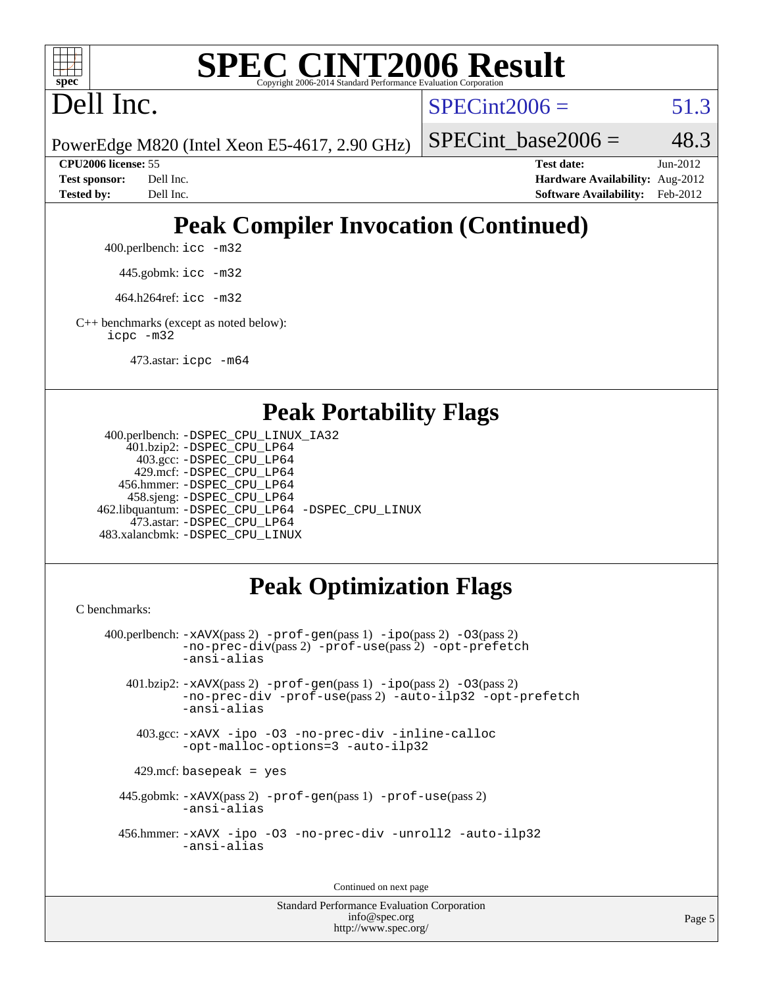

Dell Inc.

 $SPECint2006 = 51.3$  $SPECint2006 = 51.3$ 

PowerEdge M820 (Intel Xeon E5-4617, 2.90 GHz)

SPECint base2006 =  $48.3$ 

**[CPU2006 license:](http://www.spec.org/auto/cpu2006/Docs/result-fields.html#CPU2006license)** 55 **[Test date:](http://www.spec.org/auto/cpu2006/Docs/result-fields.html#Testdate)** Jun-2012 **[Test sponsor:](http://www.spec.org/auto/cpu2006/Docs/result-fields.html#Testsponsor)** Dell Inc. **[Hardware Availability:](http://www.spec.org/auto/cpu2006/Docs/result-fields.html#HardwareAvailability)** Aug-2012 **[Tested by:](http://www.spec.org/auto/cpu2006/Docs/result-fields.html#Testedby)** Dell Inc. **[Software Availability:](http://www.spec.org/auto/cpu2006/Docs/result-fields.html#SoftwareAvailability)** Feb-2012

## **[Peak Compiler Invocation \(Continued\)](http://www.spec.org/auto/cpu2006/Docs/result-fields.html#PeakCompilerInvocation)**

400.perlbench: [icc -m32](http://www.spec.org/cpu2006/results/res2012q3/cpu2006-20120703-23489.flags.html#user_peakCCLD400_perlbench_intel_icc_a6a621f8d50482236b970c6ac5f55f93)

445.gobmk: [icc -m32](http://www.spec.org/cpu2006/results/res2012q3/cpu2006-20120703-23489.flags.html#user_peakCCLD445_gobmk_intel_icc_a6a621f8d50482236b970c6ac5f55f93)

464.h264ref: [icc -m32](http://www.spec.org/cpu2006/results/res2012q3/cpu2006-20120703-23489.flags.html#user_peakCCLD464_h264ref_intel_icc_a6a621f8d50482236b970c6ac5f55f93)

[C++ benchmarks \(except as noted below\):](http://www.spec.org/auto/cpu2006/Docs/result-fields.html#CXXbenchmarksexceptasnotedbelow) [icpc -m32](http://www.spec.org/cpu2006/results/res2012q3/cpu2006-20120703-23489.flags.html#user_CXXpeak_intel_icpc_4e5a5ef1a53fd332b3c49e69c3330699)

473.astar: [icpc -m64](http://www.spec.org/cpu2006/results/res2012q3/cpu2006-20120703-23489.flags.html#user_peakCXXLD473_astar_intel_icpc_64bit_fc66a5337ce925472a5c54ad6a0de310)

#### **[Peak Portability Flags](http://www.spec.org/auto/cpu2006/Docs/result-fields.html#PeakPortabilityFlags)**

```
 400.perlbench: -DSPEC_CPU_LINUX_IA32
    401.bzip2: -DSPEC_CPU_LP64
      403.gcc: -DSPEC_CPU_LP64
     429.mcf: -DSPEC_CPU_LP64
   456.hmmer: -DSPEC_CPU_LP64
    458.sjeng: -DSPEC_CPU_LP64
462.libquantum: -DSPEC_CPU_LP64 -DSPEC_CPU_LINUX
     473.astar: -DSPEC_CPU_LP64
483.xalancbmk: -DSPEC_CPU_LINUX
```
### **[Peak Optimization Flags](http://www.spec.org/auto/cpu2006/Docs/result-fields.html#PeakOptimizationFlags)**

[C benchmarks](http://www.spec.org/auto/cpu2006/Docs/result-fields.html#Cbenchmarks):

```
 400.perlbench: -xAVX(pass 2) -prof-gen(pass 1) -ipo(pass 2) -O3(pass 2)
           -no-prec-div(pass 2) -prof-use(pass 2) -opt-prefetch
          -ansi-alias
   401.bzip2: -xAVX(pass 2) -prof-gen(pass 1) -ipo(pass 2) -O3(pass 2)
           -no-prec-div -prof-use(pass 2) -auto-ilp32 -opt-prefetch
           -ansi-alias
    403.gcc: -xAVX -ipo -O3 -no-prec-div -inline-calloc
           -opt-malloc-options=3 -auto-ilp32
   429.mcf: basepeak = yes
  445.gobmk: -xAVX(pass 2) -prof-gen(pass 1) -prof-use(pass 2)
           -ansi-alias
  456.hmmer: -xAVX -ipo -O3 -no-prec-div -unroll2 -auto-ilp32
           -ansi-alias
```
Continued on next page

```
Standard Performance Evaluation Corporation
             info@spec.org
          http://www.spec.org/
```